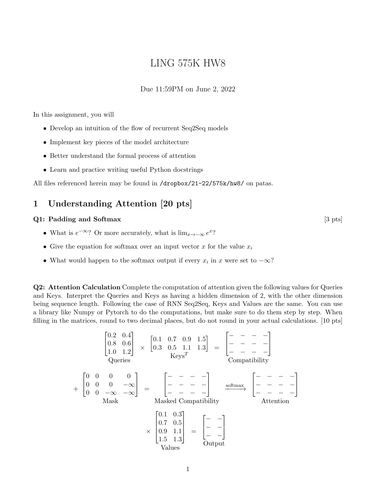# LING 575K HW8

#### Due 11:59PM on June 2, 2022

In this assignment, you will

- Develop an intuition of the flow of recurrent Seq2Seq models
- Implement key pieces of the model architecture
- Better understand the formal process of attention
- Learn and practice writing useful Python docstrings

All files referenced herein may be found in /dropbox/21-22/575k/hw8/ on patas.

## 1 Understanding Attention [20 pts]

#### Q1: Padding and Softmax [3 pts]

- What is  $e^{-\infty}$ ? Or more accurately, what is  $\lim_{x\to-\infty}e^x$ ?
- Give the equation for softmax over an input vector x for the value  $x_i$
- What would happen to the softmax output if every  $x_i$  in x were set to  $-\infty$ ?

Q2: Attention Calculation Complete the computation of attention given the following values for Queries and Keys. Interpret the Queries and Keys as having a hidden dimension of 2, with the other dimension being sequence length. Following the case of RNN Seq2Seq, Keys and Values are the same. You can use a library like Numpy or Pytorch to do the computations, but make sure to do them step by step. When filling in the matrices, round to two decimal places, but do not round in your actual calculations. [10 pts]

$$
\begin{bmatrix}\n0.2 & 0.4 \\
0.8 & 0.6 \\
1.0 & 1.2\n\end{bmatrix} \times \begin{bmatrix}\n0.1 & 0.7 & 0.9 & 1.5 \\
0.3 & 0.5 & 1.1 & 1.3\n\end{bmatrix} = \begin{bmatrix}\n-\text{ } & - & - & - \\
-\text{ } & - & - & - \\
-\text{ } & - & - & -\n\end{bmatrix}
$$
\nCompatibility

\n
$$
+ \begin{bmatrix}\n0 & 0 & 0 & 0 \\
0 & 0 & 0 & -\infty \\
0 & 0 & -\infty & -\infty\n\end{bmatrix} = \begin{bmatrix}\n-\text{ } & - & - & - \\
-\text{ } & - & - & - \\
-\text{ } & - & - & -\n\end{bmatrix} \xrightarrow{\text{softmax}} \begin{bmatrix}\n-\text{ } & - & - & - \\
-\text{ } & - & - & - \\
-\text{ } & - & - & -\n\end{bmatrix}
$$
\nMastering

\nMasked Compatibility

\n
$$
\times \begin{bmatrix}\n0.1 & 0.3 \\
0.7 & 0.5 \\
0.9 & 1.1 \\
1.5 & 1.3\n\end{bmatrix} = \begin{bmatrix}\n-\text{ } & -\text{ } \\
-\text{ } & -\n\end{bmatrix}
$$
\nOutput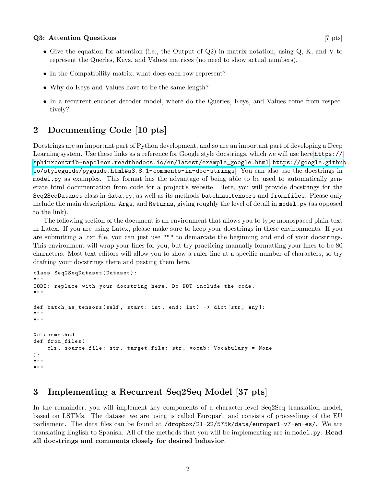#### $Q3:$  Attention Questions [7 pts]  $[7 \text{ pts}]$

- Give the equation for attention (i.e., the Output of  $Q2$ ) in matrix notation, using  $Q$ , K, and V to represent the Queries, Keys, and Values matrices (no need to show actual numbers).
- In the Compatibility matrix, what does each row represent?
- Why do Keys and Values have to be the same length?
- In a recurrent encoder-decoder model, where do the Queries, Keys, and Values come from respectively?

# 2 Documenting Code [10 pts]

Docstrings are an important part of Python development, and so are an important part of developing a Deep Learning system. Use these links as a reference for Google style docstrings, which we will use here [https://](https://sphinxcontrib-napoleon.readthedocs.io/en/latest/example_google.html) [sphinxcontrib-napoleon.readthedocs.io/en/latest/example\\_google.html](https://sphinxcontrib-napoleon.readthedocs.io/en/latest/example_google.html), [https://google.github](https://google.github.io/styleguide/pyguide.html#s3.8.1-comments-in-doc-strings). [io/styleguide/pyguide.html#s3.8.1-comments-in-doc-strings](https://google.github.io/styleguide/pyguide.html#s3.8.1-comments-in-doc-strings). You can also use the docstrings in model.py as examples. This format has the advantage of being able to be used to automatically generate html documentation from code for a project's website. Here, you will provide docstrings for the Seq2SeqDataset class in data.py, as well as its methods batch as tensors and from files. Please only include the main description, Args, and Returns, giving roughly the level of detail in model.py (as opposed to the link).

The following section of the document is an environment that allows you to type monospaced plain-text in Latex. If you are using Latex, please make sure to keep your docstrings in these environments. If you are submitting a .txt file, you can just use """ to demarcate the beginning and end of your docstrings. This environment will wrap your lines for you, but try practicing manually formatting your lines to be 80 characters. Most text editors will allow you to show a ruler line at a specific number of characters, so try drafting your docstrings there and pasting them here.

```
class Seq2SeqDataset ( Dataset ) :
"""
TODO: replace with your docstring here. Do NOT include the code.
"""
def batch_as_tensors ( self, start: int, end: int) -> dict [str, Any]:
"""
"" ""
@classmethod
def from_files (
    cls, source_file: str, target_file: str, vocab: Vocabulary = None
) :
"""
"" "" ""
```
# 3 Implementing a Recurrent Seq2Seq Model [37 pts]

In the remainder, you will implement key components of a character-level Seq2Seq translation model, based on LSTMs. The dataset we are using is called Europarl, and consists of proceedings of the EU parliament. The data files can be found at /dropbox/21-22/575k/data/europarl-v7-en-es/. We are translating English to Spanish. All of the methods that you will be implementing are in model.py. Read all docstrings and comments closely for desired behavior.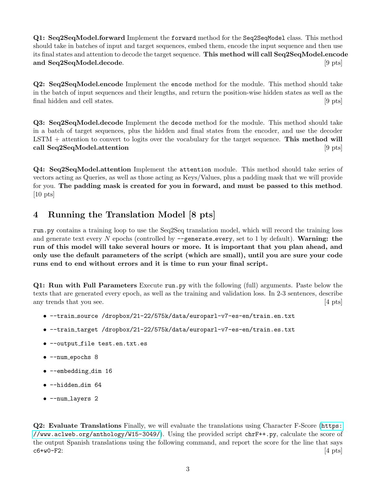Q1: Seq2SeqModel.forward Implement the forward method for the Seq2SeqModel class. This method should take in batches of input and target sequences, embed them, encode the input sequence and then use its final states and attention to decode the target sequence. This method will call Seq2SeqModel.encode and Seq2SeqModel.decode. [9 pts]

Q2: Seq2SeqModel.encode Implement the encode method for the module. This method should take in the batch of input sequences and their lengths, and return the position-wise hidden states as well as the final hidden and cell states. [9 pts]

Q3: Seq2SeqModel.decode Implement the decode method for the module. This method should take in a batch of target sequences, plus the hidden and final states from the encoder, and use the decoder  $\text{LSTM}$  + attention to convert to logits over the vocabulary for the target sequence. This method will call Seq2SeqModel.attention [9 pts]

Q4: Seq2SeqModel.attention Implement the attention module. This method should take series of vectors acting as Queries, as well as those acting as Keys/Values, plus a padding mask that we will provide for you. The padding mask is created for you in forward, and must be passed to this method. [10 pts]

# 4 Running the Translation Model [8 pts]

run.py contains a training loop to use the Seq2Seq translation model, which will record the training loss and generate text every N epochs (controlled by  $-\epsilon$  = generate every, set to 1 by default). Warning: the run of this model will take several hours or more. It is important that you plan ahead, and only use the default parameters of the script (which are small), until you are sure your code runs end to end without errors and it is time to run your final script.

Q1: Run with Full Parameters Execute run.py with the following (full) arguments. Paste below the texts that are generated every epoch, as well as the training and validation loss. In 2-3 sentences, describe any trends that you see. [4 pts]

- --train source /dropbox/21-22/575k/data/europarl-v7-es-en/train.en.txt
- --train target /dropbox/21-22/575k/data/europarl-v7-es-en/train.es.txt
- --output file test.en.txt.es
- --num\_epochs 8
- --embedding\_dim 16
- --hidden dim 64
- --num layers 2

Q2: Evaluate Translations Finally, we will evaluate the translations using Character F-Score ([https:](https://www.aclweb.org/anthology/W15-3049/) [//www.aclweb.org/anthology/W15-3049/](https://www.aclweb.org/anthology/W15-3049/)). Using the provided script chrF++.py, calculate the score of the output Spanish translations using the following command, and report the score for the line that says  $c6+w0-F2:$  [4 pts]